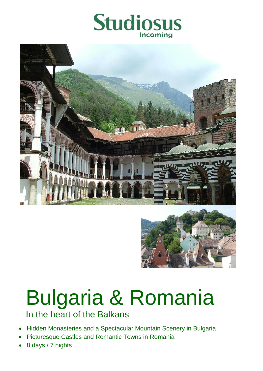





# Bulgaria & Romania

In the heart of the Balkans

- Hidden Monasteries and a Spectacular Mountain Scenery in Bulgaria
- Picturesque Castles and Romantic Towns in Romania
- 8 days / 7 nights